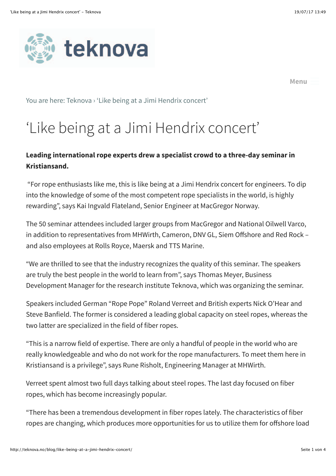



**[Menu](http://teknova.no/blog/like-being-at-a-jimi-hendrix-concert/#)**

You are here: [Teknova](http://teknova.no/) › ['Like being at a Jimi Hendrix concert'](http://teknova.no/blog/like-being-at-a-jimi-hendrix-concert/)

# 'Like being at a Jimi Hendrix concert'

#### **Leading international rope experts drew a specialist crowd to a three-day seminar in Kristiansand.**

 "For rope enthusiasts like me, this is like being at a Jimi Hendrix concert for engineers. To dip into the knowledge of some of the most competent rope specialists in the world, is highly rewarding", says Kai Ingvald Flateland, Senior Engineer at MacGregor Norway.

The 50 seminar attendees included larger groups from MacGregor and National Oilwell Varco, in addition to representatives from MHWirth, Cameron, DNV GL, Siem Offshore and Red Rock – and also employees at Rolls Royce, Maersk and TTS Marine.

"We are thrilled to see that the industry recognizes the quality of this seminar. The speakers are truly the best people in the world to learn from", says Thomas Meyer, Business Development Manager for the research institute Teknova, which was organizing the seminar.

Speakers included German "Rope Pope" Roland Verreet and British experts Nick O'Hear and Steve Banfield. The former is considered a leading global capacity on steel ropes, whereas the two latter are specialized in the field of fiber ropes.

"This is a narrow field of expertise. There are only a handful of people in the world who are really knowledgeable and who do not work for the rope manufacturers. To meet them here in Kristiansand is a privilege", says Rune Risholt, Engineering Manager at MHWirth.

Verreet spent almost two full days talking about steel ropes. The last day focused on fiber ropes, which has become increasingly popular.

"There has been a tremendous development in fiber ropes lately. The characteristics of fiber ropes are changing, which produces more opportunities for us to utilize them for offshore load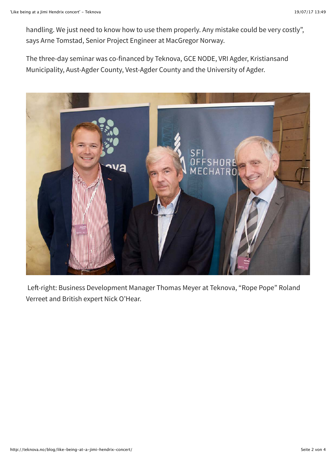handling. We just need to know how to use them properly. Any mistake could be very costly", says Arne Tomstad, Senior Project Engineer at MacGregor Norway.

The three-day seminar was co-financed by Teknova, GCE NODE, VRI Agder, Kristiansand Municipality, Aust-Agder County, Vest-Agder County and the University of Agder.



Left-right: Business Development Manager Thomas Meyer at Teknova, "Rope Pope" Roland Verreet and British expert Nick O'Hear.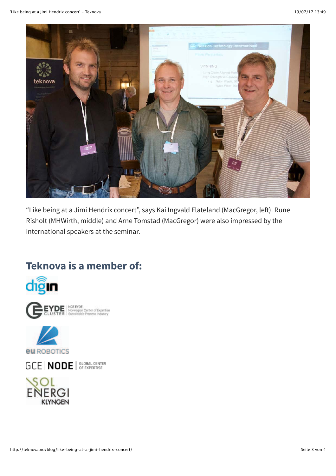

"Like being at a Jimi Hendrix concert", says Kai Ingvald Flateland (MacGregor, left). Rune Risholt (MHWirth, middle) and Arne Tomstad (MacGregor) were also impressed by the international speakers at the seminar.

## **Teknova is a member of:**



NCE EYDE<br>Norwegian Center of Expertise<br>Sustainable Process Industry



GCE | NODE | SLOBAL CENTER